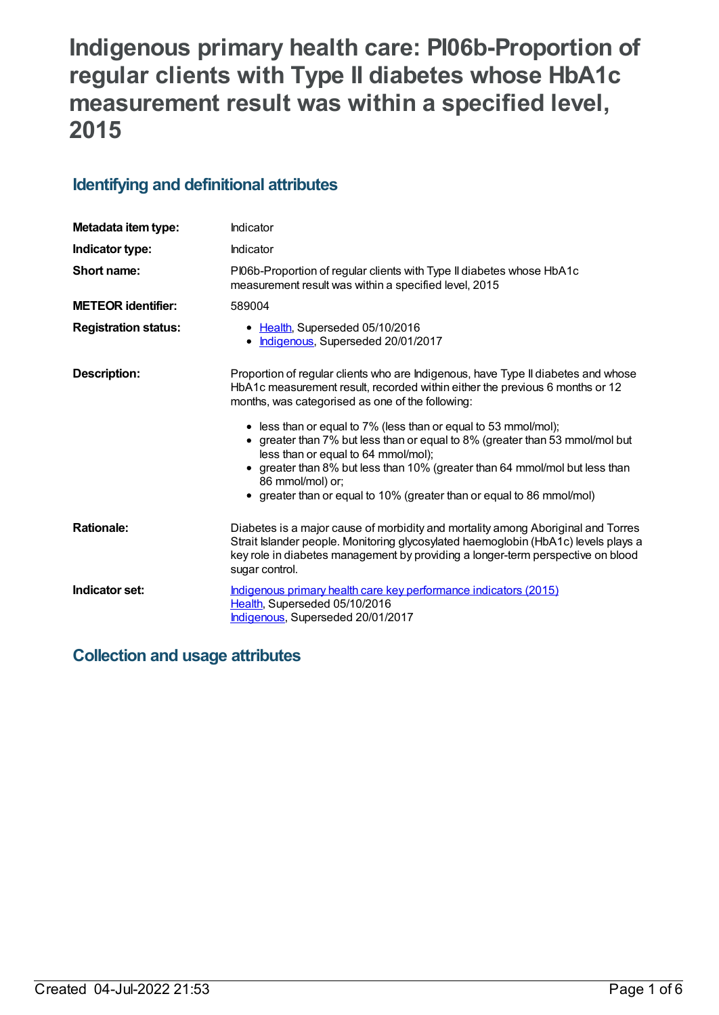# **Indigenous primary health care: PI06b-Proportion of regular clients with Type II diabetes whose HbA1c measurement result was within a specified level, 2015**

# **Identifying and definitional attributes**

| Metadata item type:         | Indicator                                                                                                                                                                                                                                                                   |  |
|-----------------------------|-----------------------------------------------------------------------------------------------------------------------------------------------------------------------------------------------------------------------------------------------------------------------------|--|
| Indicator type:             | Indicator                                                                                                                                                                                                                                                                   |  |
| Short name:                 | PI06b-Proportion of regular clients with Type II diabetes whose HbA1c<br>measurement result was within a specified level, 2015                                                                                                                                              |  |
| <b>METEOR</b> identifier:   | 589004                                                                                                                                                                                                                                                                      |  |
| <b>Registration status:</b> | • Health, Superseded 05/10/2016<br>• Indigenous, Superseded 20/01/2017                                                                                                                                                                                                      |  |
| <b>Description:</b>         | Proportion of regular clients who are Indigenous, have Type II diabetes and whose<br>HbA1c measurement result, recorded within either the previous 6 months or 12<br>months, was categorised as one of the following:                                                       |  |
|                             | • less than or equal to 7% (less than or equal to 53 mmol/mol);<br>• greater than 7% but less than or equal to 8% (greater than 53 mmol/mol but<br>less than or equal to 64 mmol/mol);                                                                                      |  |
|                             | • greater than 8% but less than 10% (greater than 64 mmol/mol but less than<br>86 mmol/mol) or;<br>• greater than or equal to 10% (greater than or equal to 86 mmol/mol)                                                                                                    |  |
| <b>Rationale:</b>           | Diabetes is a major cause of morbidity and mortality among Aboriginal and Torres<br>Strait Islander people. Monitoring glycosylated haemoglobin (HbA1c) levels plays a<br>key role in diabetes management by providing a longer-term perspective on blood<br>sugar control. |  |
| Indicator set:              | Indigenous primary health care key performance indicators (2015)<br>Health, Superseded 05/10/2016<br>Indigenous, Superseded 20/01/2017                                                                                                                                      |  |

# **Collection and usage attributes**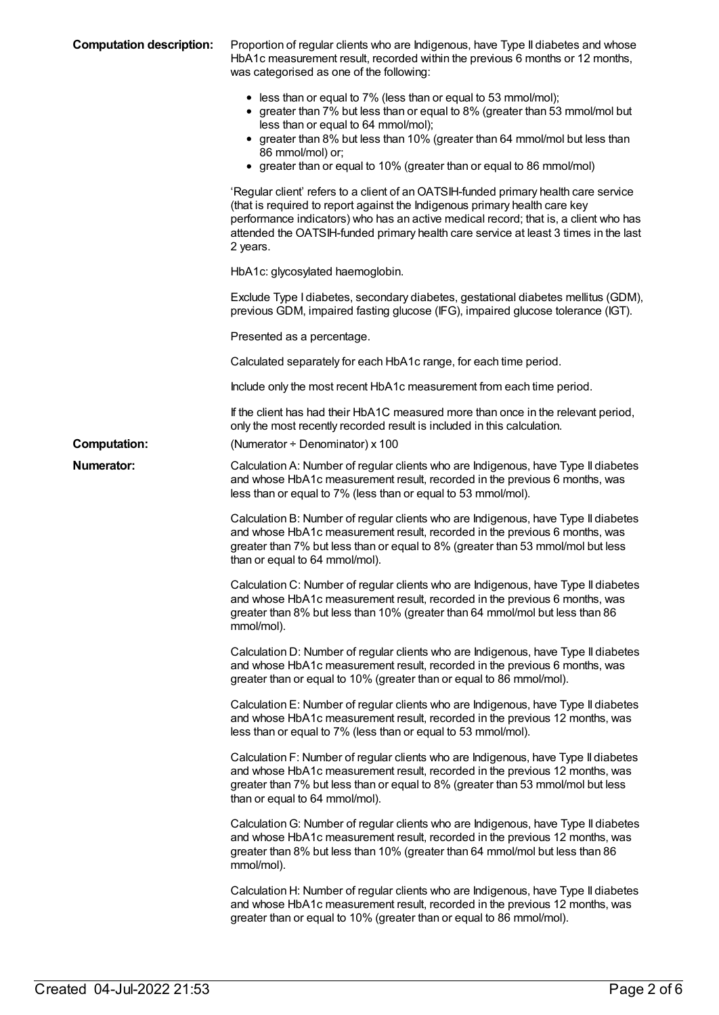| <b>Computation description:</b> | Proportion of regular clients who are Indigenous, have Type II diabetes and whose<br>HbA1c measurement result, recorded within the previous 6 months or 12 months,<br>was categorised as one of the following:                                                                                                                                                     |
|---------------------------------|--------------------------------------------------------------------------------------------------------------------------------------------------------------------------------------------------------------------------------------------------------------------------------------------------------------------------------------------------------------------|
|                                 | • less than or equal to 7% (less than or equal to 53 mmol/mol);<br>• greater than 7% but less than or equal to 8% (greater than 53 mmol/mol but<br>less than or equal to 64 mmol/mol);<br>• greater than 8% but less than 10% (greater than 64 mmol/mol but less than<br>86 mmol/mol) or;<br>• greater than or equal to 10% (greater than or equal to 86 mmol/mol) |
|                                 | 'Regular client' refers to a client of an OATSIH-funded primary health care service<br>(that is required to report against the Indigenous primary health care key<br>performance indicators) who has an active medical record; that is, a client who has<br>attended the OATSIH-funded primary health care service at least 3 times in the last<br>2 years.        |
|                                 | HbA1c: glycosylated haemoglobin.                                                                                                                                                                                                                                                                                                                                   |
|                                 | Exclude Type I diabetes, secondary diabetes, gestational diabetes mellitus (GDM),<br>previous GDM, impaired fasting glucose (IFG), impaired glucose tolerance (IGT).                                                                                                                                                                                               |
|                                 | Presented as a percentage.                                                                                                                                                                                                                                                                                                                                         |
|                                 | Calculated separately for each HbA1c range, for each time period.                                                                                                                                                                                                                                                                                                  |
|                                 | Include only the most recent HbA1c measurement from each time period.                                                                                                                                                                                                                                                                                              |
|                                 | If the client has had their HbA1C measured more than once in the relevant period,<br>only the most recently recorded result is included in this calculation.                                                                                                                                                                                                       |
| <b>Computation:</b>             | (Numerator $\div$ Denominator) x 100                                                                                                                                                                                                                                                                                                                               |
| <b>Numerator:</b>               | Calculation A: Number of regular clients who are Indigenous, have Type II diabetes<br>and whose HbA1c measurement result, recorded in the previous 6 months, was<br>less than or equal to 7% (less than or equal to 53 mmol/mol).                                                                                                                                  |
|                                 | Calculation B: Number of regular clients who are Indigenous, have Type II diabetes<br>and whose HbA1c measurement result, recorded in the previous 6 months, was<br>greater than 7% but less than or equal to 8% (greater than 53 mmol/mol but less<br>than or equal to 64 mmol/mol).                                                                              |
|                                 | Calculation C: Number of regular clients who are Indigenous, have Type II diabetes<br>and whose HbA1c measurement result, recorded in the previous 6 months, was<br>greater than 8% but less than 10% (greater than 64 mmol/mol but less than 86<br>mmol/mol).                                                                                                     |
|                                 | Calculation D: Number of regular clients who are Indigenous, have Type II diabetes<br>and whose HbA1c measurement result, recorded in the previous 6 months, was<br>greater than or equal to 10% (greater than or equal to 86 mmol/mol).                                                                                                                           |
|                                 | Calculation E: Number of regular clients who are Indigenous, have Type II diabetes<br>and whose HbA1c measurement result, recorded in the previous 12 months, was<br>less than or equal to 7% (less than or equal to 53 mmol/mol).                                                                                                                                 |
|                                 | Calculation F: Number of regular clients who are Indigenous, have Type II diabetes<br>and whose HbA1c measurement result, recorded in the previous 12 months, was<br>greater than 7% but less than or equal to 8% (greater than 53 mmol/mol but less<br>than or equal to 64 mmol/mol).                                                                             |
|                                 | Calculation G: Number of regular clients who are Indigenous, have Type II diabetes<br>and whose HbA1c measurement result, recorded in the previous 12 months, was<br>greater than 8% but less than 10% (greater than 64 mmol/mol but less than 86<br>mmol/mol).                                                                                                    |
|                                 | Calculation H: Number of regular clients who are Indigenous, have Type II diabetes<br>and whose HbA1c measurement result, recorded in the previous 12 months, was<br>greater than or equal to 10% (greater than or equal to 86 mmol/mol).                                                                                                                          |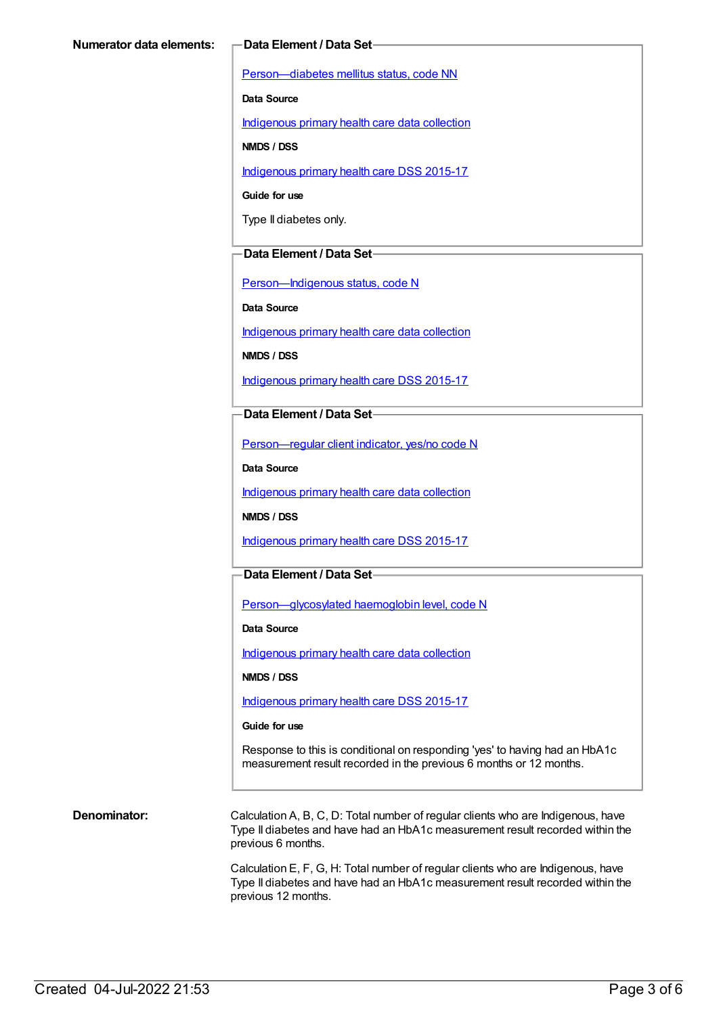[Person—diabetes](https://meteor.aihw.gov.au/content/270194) mellitus status, code NN

**Data Source**

[Indigenous](https://meteor.aihw.gov.au/content/430643) primary health care data collection

**NMDS / DSS**

[Indigenous](https://meteor.aihw.gov.au/content/585036) primary health care DSS 2015-17

**Guide for use**

Type II diabetes only.

#### **Data Element / Data Set**

[Person—Indigenous](https://meteor.aihw.gov.au/content/291036) status, code N

**Data Source**

[Indigenous](https://meteor.aihw.gov.au/content/430643) primary health care data collection

**NMDS / DSS**

[Indigenous](https://meteor.aihw.gov.au/content/585036) primary health care DSS 2015-17

#### **Data Element / Data Set**

[Person—regular](https://meteor.aihw.gov.au/content/436639) client indicator, yes/no code N

**Data Source**

[Indigenous](https://meteor.aihw.gov.au/content/430643) primary health care data collection

**NMDS / DSS**

[Indigenous](https://meteor.aihw.gov.au/content/585036) primary health care DSS 2015-17

### **Data Element / Data Set**

[Person—glycosylated](https://meteor.aihw.gov.au/content/589601) haemoglobin level, code N

**Data Source**

[Indigenous](https://meteor.aihw.gov.au/content/430643) primary health care data collection

**NMDS / DSS**

[Indigenous](https://meteor.aihw.gov.au/content/585036) primary health care DSS 2015-17

#### **Guide for use**

Response to this is conditional on responding 'yes' to having had an HbA1c measurement result recorded in the previous 6 months or 12 months.

**Denominator:** Calculation A, B, C, D: Total number of regular clients who are Indigenous, have Type II diabetes and have had an HbA1c measurement result recorded within the previous 6 months.

> Calculation E, F, G, H: Total number of regular clients who are Indigenous, have Type II diabetes and have had an HbA1c measurement result recorded within the previous 12 months.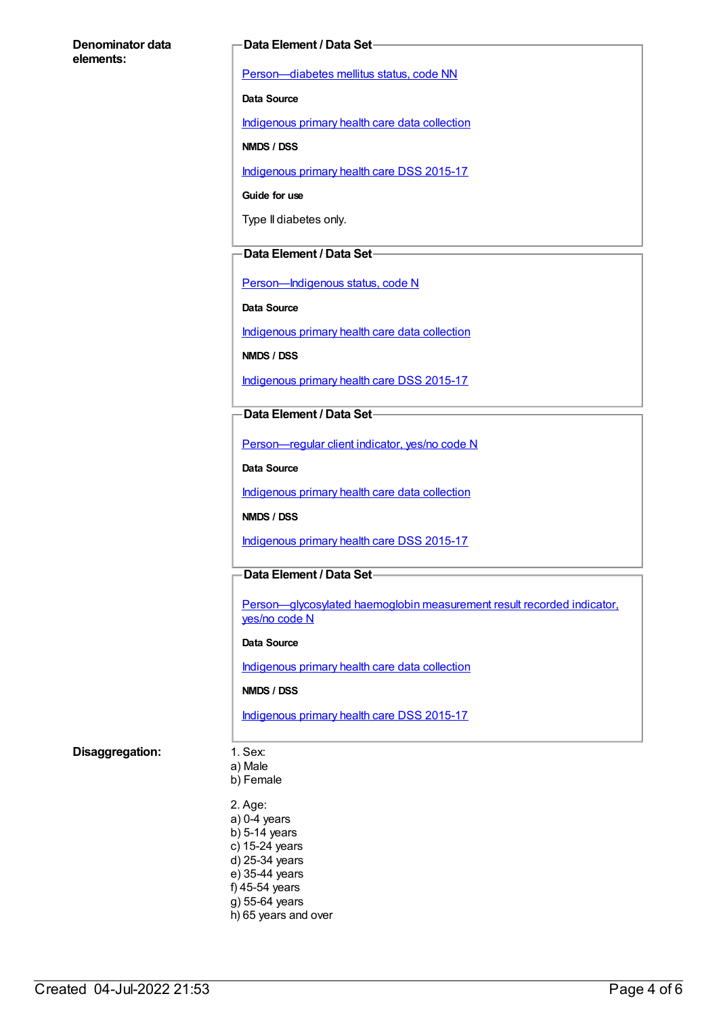#### **Denominator data elements:**

#### **Data Element / Data Set**

[Person—diabetes](https://meteor.aihw.gov.au/content/270194) mellitus status, code NN

**Data Source**

[Indigenous](https://meteor.aihw.gov.au/content/430643) primary health care data collection

**NMDS / DSS**

[Indigenous](https://meteor.aihw.gov.au/content/585036) primary health care DSS 2015-17

**Guide for use**

Type II diabetes only.

#### **Data Element / Data Set**

[Person—Indigenous](https://meteor.aihw.gov.au/content/291036) status, code N

**Data Source**

[Indigenous](https://meteor.aihw.gov.au/content/430643) primary health care data collection

**NMDS / DSS**

[Indigenous](https://meteor.aihw.gov.au/content/585036) primary health care DSS 2015-17

#### **Data Element / Data Set**

[Person—regular](https://meteor.aihw.gov.au/content/436639) client indicator, yes/no code N

**Data Source**

[Indigenous](https://meteor.aihw.gov.au/content/430643) primary health care data collection

**NMDS / DSS**

[Indigenous](https://meteor.aihw.gov.au/content/585036) primary health care DSS 2015-17

### **Data Element / Data Set**

Person-glycosylated haemoglobin measurement result recorded indicator, yes/no code N

#### **Data Source**

[Indigenous](https://meteor.aihw.gov.au/content/430643) primary health care data collection

#### **NMDS / DSS**

[Indigenous](https://meteor.aihw.gov.au/content/585036) primary health care DSS 2015-17

### **Disaggregation:** 1. Sex:

a) Male b) Female

2. Age: a) 0-4 years b) 5-14 years c) 15-24 years d) 25-34 years e) 35-44 years f) 45-54 years g) 55-64 years h) 65 years and over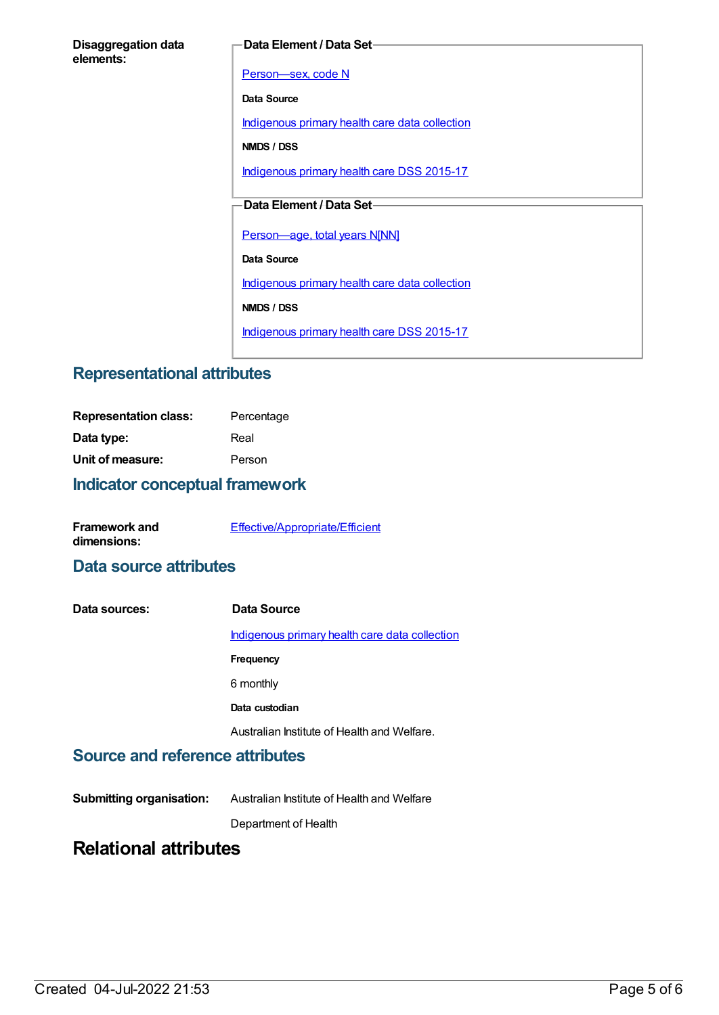| <b>Disaggregation data</b> |  |
|----------------------------|--|
| elements:                  |  |

#### **Data Element / Data Set**

Person-sex, code N

**Data Source**

[Indigenous](https://meteor.aihw.gov.au/content/430643) primary health care data collection

**NMDS / DSS**

[Indigenous](https://meteor.aihw.gov.au/content/585036) primary health care DSS 2015-17

## **Data Element / Data Set**

[Person—age,](https://meteor.aihw.gov.au/content/303794) total years N[NN]

**Data Source**

[Indigenous](https://meteor.aihw.gov.au/content/430643) primary health care data collection

**NMDS / DSS**

[Indigenous](https://meteor.aihw.gov.au/content/585036) primary health care DSS 2015-17

# **Representational attributes**

| <b>Representation class:</b> | Percentage |
|------------------------------|------------|
| Data type:                   | Real       |
| Unit of measure:             | Person     |

# **Indicator conceptual framework**

| <b>Framework and</b> | Effective/Appropriate/Efficient |
|----------------------|---------------------------------|
| dimensions:          |                                 |

# **Data source attributes**

**Data sources: Data Source** [Indigenous](https://meteor.aihw.gov.au/content/430643) primary health care data collection **Frequency** 6 monthly **Data custodian** Australian Institute of Health and Welfare.

# **Source and reference attributes**

**Submitting organisation:** Australian Institute of Health and Welfare

Department of Health

# **Relational attributes**